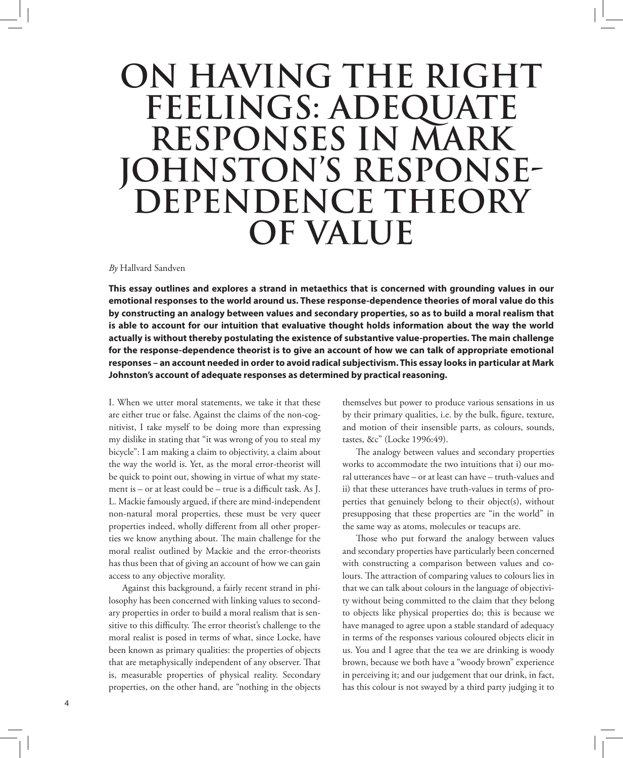## **ON HAVING THE RIGHT FEELINGS: ADEQUATE RESPONSES IN MARK JOHNSTON'S RESPONSE-DEPENDENCE THEORY OF VALUE**

## *By* Hallvard Sandven

**This essay outlines and explores a strand in metaethics that is concerned with grounding values in our emotional responses to the world around us. These response-dependence theories of moral value do this by constructing an analogy between values and secondary properties, so as to build a moral realism that is able to account for our intuition that evaluative thought holds information about the way the world actually is without thereby postulating the existence of substantive value-properties. The main challenge for the response-dependence theorist is to give an account of how we can talk of appropriate emotional responses – an account needed in order to avoid radical subjectivism. This essay looks in particular at Mark Johnston's account of adequate responses as determined by practical reasoning.** 

I. When we utter moral statements, we take it that these are either true or false. Against the claims of the non-cognitivist, I take myself to be doing more than expressing my dislike in stating that "it was wrong of you to steal my bicycle": I am making a claim to objectivity, a claim about the way the world is. Yet, as the moral error-theorist will be quick to point out, showing in virtue of what my statement is – or at least could be – true is a difficult task. As J. L. Mackie famously argued, if there are mind-independent non-natural moral properties, these must be very queer properties indeed, wholly different from all other properties we know anything about. The main challenge for the moral realist outlined by Mackie and the error-theorists has thus been that of giving an account of how we can gain access to any objective morality.

Against this background, a fairly recent strand in philosophy has been concerned with linking values to secondary properties in order to build a moral realism that is sensitive to this difficulty. The error theorist's challenge to the moral realist is posed in terms of what, since Locke, have been known as primary qualities: the properties of objects that are metaphysically independent of any observer. That is, measurable properties of physical reality. Secondary properties, on the other hand, are "nothing in the objects

themselves but power to produce various sensations in us by their primary qualities, i.e. by the bulk, figure, texture, and motion of their insensible parts, as colours, sounds, tastes, &c" (Locke 1996:49).

The analogy between values and secondary properties works to accommodate the two intuitions that i) our moral utterances have – or at least can have – truth-values and ii) that these utterances have truth-values in terms of properties that genuinely belong to their object(s), without presupposing that these properties are "in the world" in the same way as atoms, molecules or teacups are.

Those who put forward the analogy between values and secondary properties have particularly been concerned with constructing a comparison between values and colours. The attraction of comparing values to colours lies in that we can talk about colours in the language of objectivity without being committed to the claim that they belong to objects like physical properties do; this is because we have managed to agree upon a stable standard of adequacy in terms of the responses various coloured objects elicit in us. You and I agree that the tea we are drinking is woody brown, because we both have a "woody brown" experience in perceiving it; and our judgement that our drink, in fact, has this colour is not swayed by a third party judging it to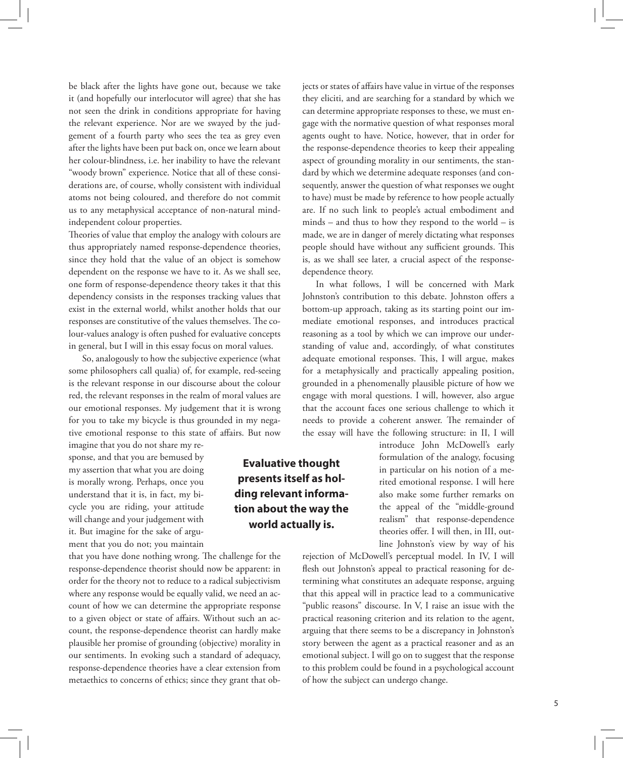be black after the lights have gone out, because we take it (and hopefully our interlocutor will agree) that she has not seen the drink in conditions appropriate for having the relevant experience. Nor are we swayed by the judgement of a fourth party who sees the tea as grey even after the lights have been put back on, once we learn about her colour-blindness, i.e. her inability to have the relevant "woody brown" experience. Notice that all of these considerations are, of course, wholly consistent with individual atoms not being coloured, and therefore do not commit us to any metaphysical acceptance of non-natural mindindependent colour properties.

Theories of value that employ the analogy with colours are thus appropriately named response-dependence theories, since they hold that the value of an object is somehow dependent on the response we have to it. As we shall see, one form of response-dependence theory takes it that this dependency consists in the responses tracking values that exist in the external world, whilst another holds that our responses are constitutive of the values themselves. The colour-values analogy is often pushed for evaluative concepts in general, but I will in this essay focus on moral values.

So, analogously to how the subjective experience (what some philosophers call qualia) of, for example, red-seeing is the relevant response in our discourse about the colour red, the relevant responses in the realm of moral values are our emotional responses. My judgement that it is wrong for you to take my bicycle is thus grounded in my negative emotional response to this state of affairs. But now

imagine that you do not share my response, and that you are bemused by my assertion that what you are doing is morally wrong. Perhaps, once you understand that it is, in fact, my bicycle you are riding, your attitude will change and your judgement with it. But imagine for the sake of argument that you do not; you maintain

that you have done nothing wrong. The challenge for the response-dependence theorist should now be apparent: in order for the theory not to reduce to a radical subjectivism where any response would be equally valid, we need an account of how we can determine the appropriate response to a given object or state of affairs. Without such an account, the response-dependence theorist can hardly make plausible her promise of grounding (objective) morality in our sentiments. In evoking such a standard of adequacy, response-dependence theories have a clear extension from metaethics to concerns of ethics; since they grant that ob-

they eliciti, and are searching for a standard by which we can determine appropriate responses to these, we must engage with the normative question of what responses moral agents ought to have. Notice, however, that in order for the response-dependence theories to keep their appealing aspect of grounding morality in our sentiments, the standard by which we determine adequate responses (and consequently, answer the question of what responses we ought to have) must be made by reference to how people actually are. If no such link to people's actual embodiment and minds – and thus to how they respond to the world – is made, we are in danger of merely dictating what responses people should have without any sufficient grounds. This is, as we shall see later, a crucial aspect of the responsedependence theory.

jects or states of affairs have value in virtue of the responses

In what follows, I will be concerned with Mark Johnston's contribution to this debate. Johnston offers a bottom-up approach, taking as its starting point our immediate emotional responses, and introduces practical reasoning as a tool by which we can improve our understanding of value and, accordingly, of what constitutes adequate emotional responses. This, I will argue, makes for a metaphysically and practically appealing position, grounded in a phenomenally plausible picture of how we engage with moral questions. I will, however, also argue that the account faces one serious challenge to which it needs to provide a coherent answer. The remainder of the essay will have the following structure: in II, I will

> introduce John McDowell's early formulation of the analogy, focusing in particular on his notion of a merited emotional response. I will here also make some further remarks on the appeal of the "middle-ground realism" that response-dependence theories offer. I will then, in III, outline Johnston's view by way of his

rejection of McDowell's perceptual model. In IV, I will flesh out Johnston's appeal to practical reasoning for determining what constitutes an adequate response, arguing that this appeal will in practice lead to a communicative "public reasons" discourse. In V, I raise an issue with the practical reasoning criterion and its relation to the agent, arguing that there seems to be a discrepancy in Johnston's story between the agent as a practical reasoner and as an emotional subject. I will go on to suggest that the response to this problem could be found in a psychological account of how the subject can undergo change.

## **Evaluative thought presents itself as holding relevant information about the way the world actually is.**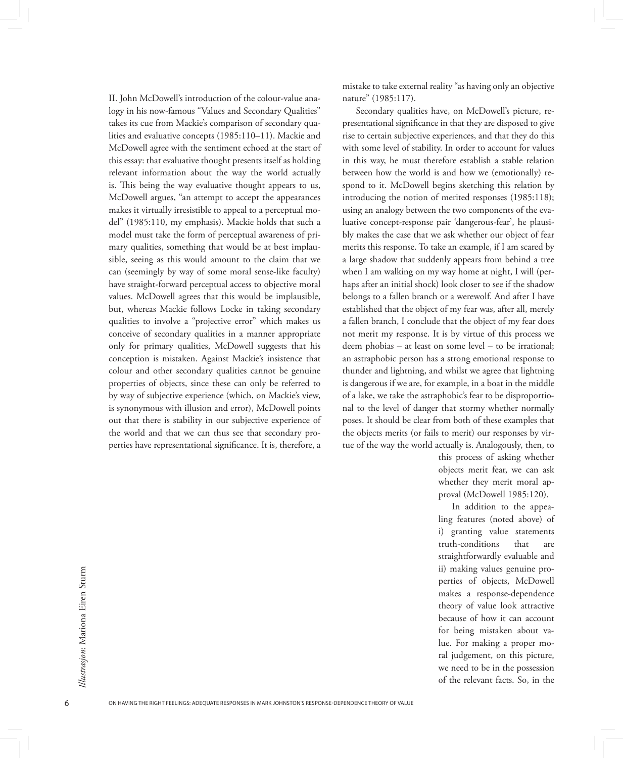II. John McDowell's introduction of the colour-value analogy in his now-famous "Values and Secondary Qualities" takes its cue from Mackie's comparison of secondary qualities and evaluative concepts (1985:110–11). Mackie and McDowell agree with the sentiment echoed at the start of this essay: that evaluative thought presents itself as holding relevant information about the way the world actually is. This being the way evaluative thought appears to us, McDowell argues, "an attempt to accept the appearances makes it virtually irresistible to appeal to a perceptual model" (1985:110, my emphasis). Mackie holds that such a model must take the form of perceptual awareness of primary qualities, something that would be at best implausible, seeing as this would amount to the claim that we can (seemingly by way of some moral sense-like faculty) have straight-forward perceptual access to objective moral values. McDowell agrees that this would be implausible, but, whereas Mackie follows Locke in taking secondary qualities to involve a "projective error" which makes us conceive of secondary qualities in a manner appropriate only for primary qualities, McDowell suggests that his conception is mistaken. Against Mackie's insistence that colour and other secondary qualities cannot be genuine properties of objects, since these can only be referred to by way of subjective experience (which, on Mackie's view, is synonymous with illusion and error), McDowell points out that there is stability in our subjective experience of the world and that we can thus see that secondary properties have representational significance. It is, therefore, a mistake to take external reality "as having only an objective nature" (1985:117).

Secondary qualities have, on McDowell's picture, representational significance in that they are disposed to give rise to certain subjective experiences, and that they do this with some level of stability. In order to account for values in this way, he must therefore establish a stable relation between how the world is and how we (emotionally) respond to it. McDowell begins sketching this relation by introducing the notion of merited responses (1985:118); using an analogy between the two components of the evaluative concept-response pair 'dangerous-fear', he plausibly makes the case that we ask whether our object of fear merits this response. To take an example, if I am scared by a large shadow that suddenly appears from behind a tree when I am walking on my way home at night, I will (perhaps after an initial shock) look closer to see if the shadow belongs to a fallen branch or a werewolf. And after I have established that the object of my fear was, after all, merely a fallen branch, I conclude that the object of my fear does not merit my response. It is by virtue of this process we deem phobias – at least on some level – to be irrational; an astraphobic person has a strong emotional response to thunder and lightning, and whilst we agree that lightning is dangerous if we are, for example, in a boat in the middle of a lake, we take the astraphobic's fear to be disproportional to the level of danger that stormy whether normally poses. It should be clear from both of these examples that the objects merits (or fails to merit) our responses by virtue of the way the world actually is. Analogously, then, to

> this process of asking whether objects merit fear, we can ask whether they merit moral approval (McDowell 1985:120).

In addition to the appealing features (noted above) of i) granting value statements truth-conditions that are straightforwardly evaluable and ii) making values genuine properties of objects, McDowell makes a response-dependence theory of value look attractive because of how it can account for being mistaken about value. For making a proper moral judgement, on this picture, we need to be in the possession of the relevant facts. So, in the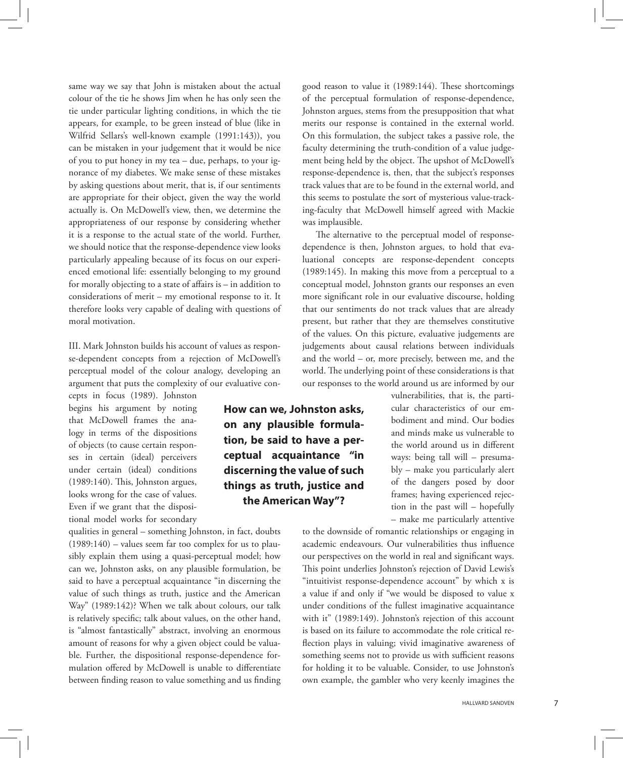same way we say that John is mistaken about the actual colour of the tie he shows Jim when he has only seen the tie under particular lighting conditions, in which the tie appears, for example, to be green instead of blue (like in Wilfrid Sellars's well-known example (1991:143)), you can be mistaken in your judgement that it would be nice of you to put honey in my tea – due, perhaps, to your ignorance of my diabetes. We make sense of these mistakes by asking questions about merit, that is, if our sentiments are appropriate for their object, given the way the world actually is. On McDowell's view, then, we determine the appropriateness of our response by considering whether it is a response to the actual state of the world. Further, we should notice that the response-dependence view looks particularly appealing because of its focus on our experienced emotional life: essentially belonging to my ground for morally objecting to a state of affairs is – in addition to considerations of merit – my emotional response to it. It therefore looks very capable of dealing with questions of moral motivation.

III. Mark Johnston builds his account of values as response-dependent concepts from a rejection of McDowell's perceptual model of the colour analogy, developing an argument that puts the complexity of our evaluative con-

> **How can we, Johnston asks, on any plausible formulation, be said to have a perceptual acquaintance "in discerning the value of such things as truth, justice and the American Way"?**

cepts in focus (1989). Johnston begins his argument by noting that McDowell frames the analogy in terms of the dispositions of objects (to cause certain responses in certain (ideal) perceivers under certain (ideal) conditions (1989:140). This, Johnston argues, looks wrong for the case of values. Even if we grant that the dispositional model works for secondary

qualities in general – something Johnston, in fact, doubts (1989:140) – values seem far too complex for us to plausibly explain them using a quasi-perceptual model; how can we, Johnston asks, on any plausible formulation, be said to have a perceptual acquaintance "in discerning the value of such things as truth, justice and the American Way" (1989:142)? When we talk about colours, our talk is relatively specific; talk about values, on the other hand, is "almost fantastically" abstract, involving an enormous amount of reasons for why a given object could be valuable. Further, the dispositional response-dependence formulation offered by McDowell is unable to differentiate between finding reason to value something and us finding

good reason to value it (1989:144). These shortcomings of the perceptual formulation of response-dependence, Johnston argues, stems from the presupposition that what merits our response is contained in the external world. On this formulation, the subject takes a passive role, the faculty determining the truth-condition of a value judgement being held by the object. The upshot of McDowell's response-dependence is, then, that the subject's responses track values that are to be found in the external world, and this seems to postulate the sort of mysterious value-tracking-faculty that McDowell himself agreed with Mackie was implausible.

The alternative to the perceptual model of responsedependence is then, Johnston argues, to hold that evaluational concepts are response-dependent concepts (1989:145). In making this move from a perceptual to a conceptual model, Johnston grants our responses an even more significant role in our evaluative discourse, holding that our sentiments do not track values that are already present, but rather that they are themselves constitutive of the values. On this picture, evaluative judgements are judgements about causal relations between individuals and the world – or, more precisely, between me, and the world. The underlying point of these considerations is that our responses to the world around us are informed by our

> vulnerabilities, that is, the particular characteristics of our embodiment and mind. Our bodies and minds make us vulnerable to the world around us in different ways: being tall will – presumably – make you particularly alert of the dangers posed by door frames; having experienced rejection in the past will – hopefully – make me particularly attentive

to the downside of romantic relationships or engaging in academic endeavours. Our vulnerabilities thus influence our perspectives on the world in real and significant ways. This point underlies Johnston's rejection of David Lewis's "intuitivist response-dependence account" by which x is a value if and only if "we would be disposed to value x under conditions of the fullest imaginative acquaintance with it" (1989:149). Johnston's rejection of this account is based on its failure to accommodate the role critical reflection plays in valuing; vivid imaginative awareness of something seems not to provide us with sufficient reasons for holding it to be valuable. Consider, to use Johnston's own example, the gambler who very keenly imagines the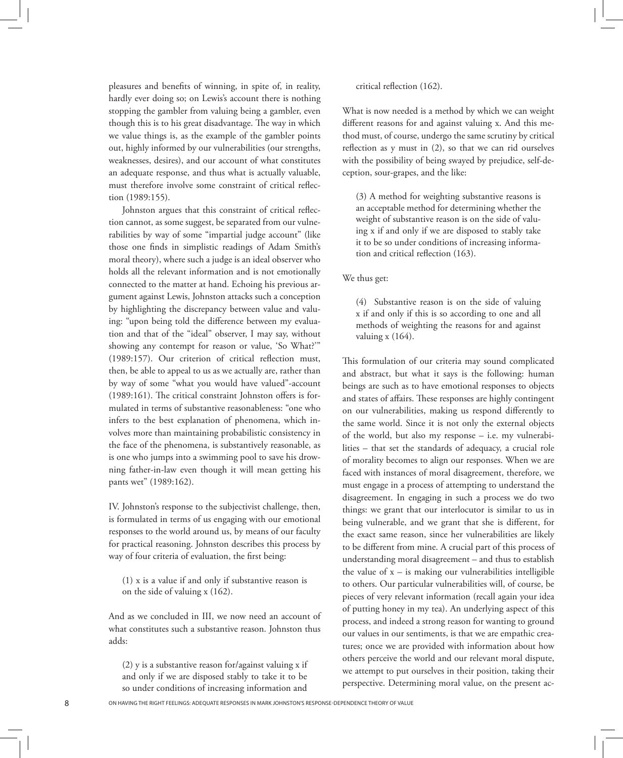pleasures and benefits of winning, in spite of, in reality, hardly ever doing so; on Lewis's account there is nothing stopping the gambler from valuing being a gambler, even though this is to his great disadvantage. The way in which we value things is, as the example of the gambler points out, highly informed by our vulnerabilities (our strengths, weaknesses, desires), and our account of what constitutes an adequate response, and thus what is actually valuable, must therefore involve some constraint of critical reflection (1989:155).

Johnston argues that this constraint of critical reflection cannot, as some suggest, be separated from our vulnerabilities by way of some "impartial judge account" (like those one finds in simplistic readings of Adam Smith's moral theory), where such a judge is an ideal observer who holds all the relevant information and is not emotionally connected to the matter at hand. Echoing his previous argument against Lewis, Johnston attacks such a conception by highlighting the discrepancy between value and valuing: "upon being told the difference between my evaluation and that of the "ideal" observer, I may say, without showing any contempt for reason or value, 'So What?'" (1989:157). Our criterion of critical reflection must, then, be able to appeal to us as we actually are, rather than by way of some "what you would have valued"-account (1989:161). The critical constraint Johnston offers is formulated in terms of substantive reasonableness: "one who infers to the best explanation of phenomena, which involves more than maintaining probabilistic consistency in the face of the phenomena, is substantively reasonable, as is one who jumps into a swimming pool to save his drowning father-in-law even though it will mean getting his pants wet" (1989:162).

IV. Johnston's response to the subjectivist challenge, then, is formulated in terms of us engaging with our emotional responses to the world around us, by means of our faculty for practical reasoning. Johnston describes this process by way of four criteria of evaluation, the first being:

(1) x is a value if and only if substantive reason is on the side of valuing x (162).

And as we concluded in III, we now need an account of what constitutes such a substantive reason. Johnston thus adds:

(2) y is a substantive reason for/against valuing x if and only if we are disposed stably to take it to be so under conditions of increasing information and

critical reflection (162).

What is now needed is a method by which we can weight different reasons for and against valuing x. And this method must, of course, undergo the same scrutiny by critical reflection as y must in (2), so that we can rid ourselves with the possibility of being swayed by prejudice, self-deception, sour-grapes, and the like:

(3) A method for weighting substantive reasons is an acceptable method for determining whether the weight of substantive reason is on the side of valuing x if and only if we are disposed to stably take it to be so under conditions of increasing information and critical reflection (163).

We thus get:

(4) Substantive reason is on the side of valuing x if and only if this is so according to one and all methods of weighting the reasons for and against valuing x (164).

This formulation of our criteria may sound complicated and abstract, but what it says is the following: human beings are such as to have emotional responses to objects and states of affairs. These responses are highly contingent on our vulnerabilities, making us respond differently to the same world. Since it is not only the external objects of the world, but also my response – i.e. my vulnerabilities – that set the standards of adequacy, a crucial role of morality becomes to align our responses. When we are faced with instances of moral disagreement, therefore, we must engage in a process of attempting to understand the disagreement. In engaging in such a process we do two things: we grant that our interlocutor is similar to us in being vulnerable, and we grant that she is different, for the exact same reason, since her vulnerabilities are likely to be different from mine. A crucial part of this process of understanding moral disagreement – and thus to establish the value of  $x -$  is making our vulnerabilities intelligible to others. Our particular vulnerabilities will, of course, be pieces of very relevant information (recall again your idea of putting honey in my tea). An underlying aspect of this process, and indeed a strong reason for wanting to ground our values in our sentiments, is that we are empathic creatures; once we are provided with information about how others perceive the world and our relevant moral dispute, we attempt to put ourselves in their position, taking their perspective. Determining moral value, on the present ac-

ON HAVING THE RIGHT FEELINGS: ADEQUATE RESPONSES IN MARK JOHNSTON'S RESPONSE-DEPENDENCE THEORY OF VALUE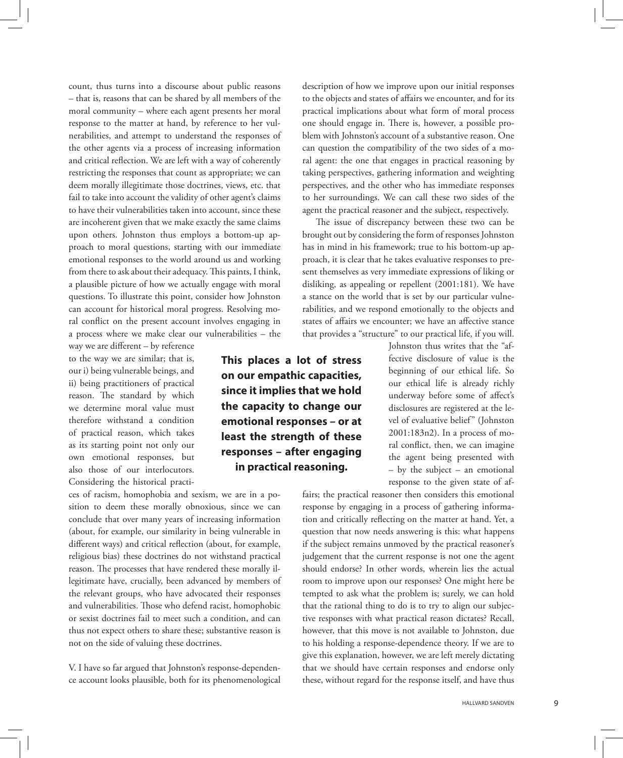count, thus turns into a discourse about public reasons – that is, reasons that can be shared by all members of the moral community – where each agent presents her moral response to the matter at hand, by reference to her vulnerabilities, and attempt to understand the responses of the other agents via a process of increasing information and critical reflection. We are left with a way of coherently restricting the responses that count as appropriate; we can deem morally illegitimate those doctrines, views, etc. that fail to take into account the validity of other agent's claims to have their vulnerabilities taken into account, since these are incoherent given that we make exactly the same claims upon others. Johnston thus employs a bottom-up approach to moral questions, starting with our immediate emotional responses to the world around us and working from there to ask about their adequacy. This paints, I think, a plausible picture of how we actually engage with moral questions. To illustrate this point, consider how Johnston can account for historical moral progress. Resolving moral conflict on the present account involves engaging in a process where we make clear our vulnerabilities – the

way we are different – by reference to the way we are similar; that is, our i) being vulnerable beings, and ii) being practitioners of practical reason. The standard by which we determine moral value must therefore withstand a condition of practical reason, which takes as its starting point not only our own emotional responses, but also those of our interlocutors. Considering the historical practi-

ces of racism, homophobia and sexism, we are in a position to deem these morally obnoxious, since we can conclude that over many years of increasing information (about, for example, our similarity in being vulnerable in different ways) and critical reflection (about, for example, religious bias) these doctrines do not withstand practical reason. The processes that have rendered these morally illegitimate have, crucially, been advanced by members of the relevant groups, who have advocated their responses and vulnerabilities. Those who defend racist, homophobic or sexist doctrines fail to meet such a condition, and can thus not expect others to share these; substantive reason is not on the side of valuing these doctrines.

V. I have so far argued that Johnston's response-dependence account looks plausible, both for its phenomenological

**This places a lot of stress on our empathic capacities, since it implies that we hold the capacity to change our emotional responses – or at least the strength of these responses – after engaging in practical reasoning.**

description of how we improve upon our initial responses to the objects and states of affairs we encounter, and for its practical implications about what form of moral process one should engage in. There is, however, a possible problem with Johnston's account of a substantive reason. One can question the compatibility of the two sides of a moral agent: the one that engages in practical reasoning by taking perspectives, gathering information and weighting perspectives, and the other who has immediate responses to her surroundings. We can call these two sides of the agent the practical reasoner and the subject, respectively.

The issue of discrepancy between these two can be brought out by considering the form of responses Johnston has in mind in his framework; true to his bottom-up approach, it is clear that he takes evaluative responses to present themselves as very immediate expressions of liking or disliking, as appealing or repellent (2001:181). We have a stance on the world that is set by our particular vulnerabilities, and we respond emotionally to the objects and states of affairs we encounter; we have an affective stance that provides a "structure" to our practical life, if you will.

> Johnston thus writes that the "affective disclosure of value is the beginning of our ethical life. So our ethical life is already richly underway before some of affect's disclosures are registered at the level of evaluative belief" (Johnston 2001:183n2). In a process of moral conflict, then, we can imagine the agent being presented with – by the subject – an emotional response to the given state of af-

fairs; the practical reasoner then considers this emotional response by engaging in a process of gathering information and critically reflecting on the matter at hand. Yet, a question that now needs answering is this: what happens if the subject remains unmoved by the practical reasoner's judgement that the current response is not one the agent should endorse? In other words, wherein lies the actual room to improve upon our responses? One might here be tempted to ask what the problem is; surely, we can hold that the rational thing to do is to try to align our subjective responses with what practical reason dictates? Recall, however, that this move is not available to Johnston, due to his holding a response-dependence theory. If we are to give this explanation, however, we are left merely dictating that we should have certain responses and endorse only these, without regard for the response itself, and have thus